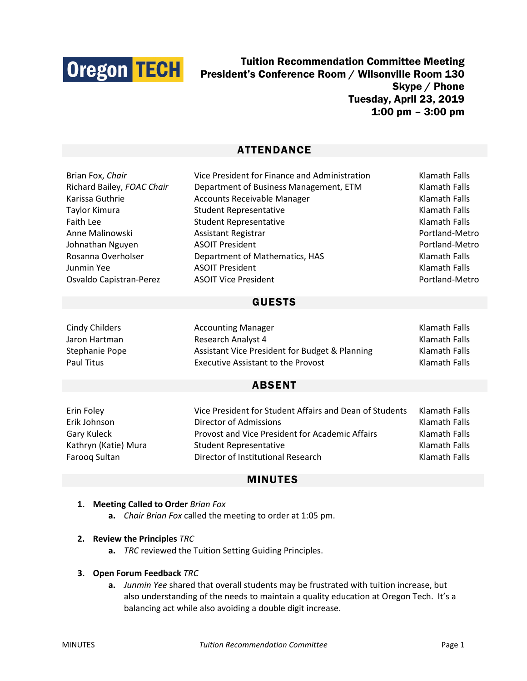

Tuition Recommendation Committee Meeting President's Conference Room / Wilsonville Room 130 Skype / Phone Tuesday, April 23, 2019 1:00 pm – 3:00 pm

# ATTENDANCE

| Brian Fox, Chair           | Vice President for Finance and Administration           | Klamath Falls        |
|----------------------------|---------------------------------------------------------|----------------------|
| Richard Bailey, FOAC Chair | Department of Business Management, ETM                  | <b>Klamath Falls</b> |
| Karissa Guthrie            | <b>Accounts Receivable Manager</b>                      | <b>Klamath Falls</b> |
| Taylor Kimura              | <b>Student Representative</b>                           | Klamath Falls        |
| <b>Faith Lee</b>           | <b>Student Representative</b>                           | Klamath Falls        |
| Anne Malinowski            | Assistant Registrar                                     | Portland-Metro       |
| Johnathan Nguyen           | <b>ASOIT President</b>                                  | Portland-Metro       |
| Rosanna Overholser         | Department of Mathematics, HAS                          | <b>Klamath Falls</b> |
| Junmin Yee                 | <b>ASOIT President</b>                                  | <b>Klamath Falls</b> |
| Osvaldo Capistran-Perez    | <b>ASOIT Vice President</b>                             | Portland-Metro       |
| <b>GUESTS</b>              |                                                         |                      |
| <b>Cindy Childers</b>      | <b>Accounting Manager</b>                               | <b>Klamath Falls</b> |
| Jaron Hartman              | Research Analyst 4                                      | Klamath Falls        |
| Stephanie Pope             | Assistant Vice President for Budget & Planning          | Klamath Falls        |
| <b>Paul Titus</b>          | <b>Executive Assistant to the Provost</b>               | <b>Klamath Falls</b> |
| <b>ABSENT</b>              |                                                         |                      |
| Erin Foley                 | Vice President for Student Affairs and Dean of Students | <b>Klamath Falls</b> |
| Erik Johnson               | Director of Admissions                                  | <b>Klamath Falls</b> |
| Gary Kuleck                | Provost and Vice President for Academic Affairs         | <b>Klamath Falls</b> |
| Kathryn (Katie) Mura       | <b>Student Representative</b>                           | <b>Klamath Falls</b> |
| Farooq Sultan              | Director of Institutional Research                      | Klamath Falls        |

### MINUTES

#### **1. Meeting Called to Order** *Brian Fox*

**a.** *Chair Brian Fox* called the meeting to order at 1:05 pm.

### **2. Review the Principles** *TRC*

**a.** *TRC* reviewed the Tuition Setting Guiding Principles.

#### **3. Open Forum Feedback** *TRC*

**a.** *Junmin Yee* shared that overall students may be frustrated with tuition increase, but also understanding of the needs to maintain a quality education at Oregon Tech. It's a balancing act while also avoiding a double digit increase.